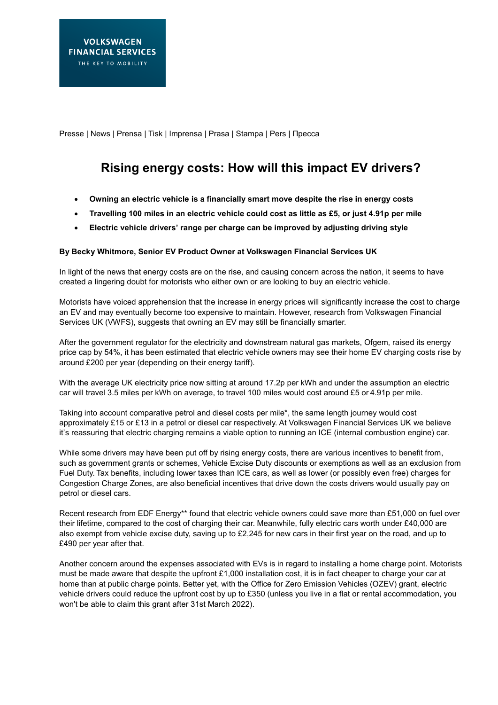Presse | News | Prensa | Tisk | Imprensa | Prasa | Stampa | Pers | Пресса

# **Rising energy costs: How will this impact EV drivers?**

- **Owning an electric vehicle is a financially smart move despite the rise in energy costs**
- **Travelling 100 miles in an electric vehicle could cost as little as £5, or just 4.91p per mile**
- **Electric vehicle drivers' range per charge can be improved by adjusting driving style**

# **By Becky Whitmore, Senior EV Product Owner at Volkswagen Financial Services UK**

In light of the news that energy costs are on the rise, and causing concern across the nation, it seems to have created a lingering doubt for motorists who either own or are looking to buy an electric vehicle.

Motorists have voiced apprehension that the increase in energy prices will significantly increase the cost to charge an EV and may eventually become too expensive to maintain. However, research from Volkswagen Financial Services UK (VWFS), suggests that owning an EV may still be financially smarter.

After the government regulator for the electricity and downstream natural gas markets, Ofgem, raised its energy price cap by 54%, it has been estimated that electric vehicle owners may see their home EV charging costs rise by around £200 per year (depending on their energy tariff).

With the average UK electricity price now sitting at around 17.2p per kWh and under the assumption an electric car will travel 3.5 miles per kWh on average, to travel 100 miles would cost around £5 or 4.91p per mile.

Taking into account comparative petrol and diesel costs per mile\*, the same length journey would cost approximately £15 or £13 in a petrol or diesel car respectively. At Volkswagen Financial Services UK we believe it's reassuring that electric charging remains a viable option to running an ICE (internal combustion engine) car.

While some drivers may have been put off by rising energy costs, there are various incentives to benefit from, such as government grants or schemes, Vehicle Excise Duty discounts or exemptions as well as an exclusion from Fuel Duty. Tax benefits, including lower taxes than ICE cars, as well as lower (or possibly even free) charges for Congestion Charge Zones, are also beneficial incentives that drive down the costs drivers would usually pay on petrol or diesel cars.

Recent research from EDF Energy\*\* found that electric vehicle owners could save more than £51,000 on fuel over their lifetime, compared to the cost of charging their car. Meanwhile, fully electric cars worth under £40,000 are also exempt from vehicle excise duty, saving up to £2,245 for new cars in their first year on the road, and up to £490 per year after that.

Another concern around the expenses associated with EVs is in regard to installing a home charge point. Motorists must be made aware that despite the upfront £1,000 installation cost, it is in fact cheaper to charge your car at home than at public charge points. Better yet, with the Office for Zero Emission Vehicles (OZEV) grant, electric vehicle drivers could reduce the upfront cost by up to £350 (unless you live in a flat or rental accommodation, you won't be able to claim this grant after 31st March 2022).